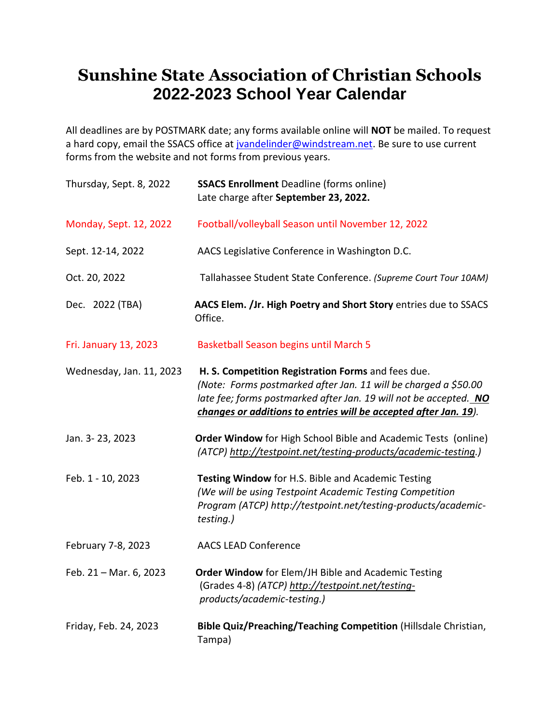## **Sunshine State Association of Christian Schools 2022-2023 School Year Calendar**

All deadlines are by POSTMARK date; any forms available online will **NOT** be mailed. To request a hard copy, email the SSACS office at *jvandelinder@windstream.net*. Be sure to use current forms from the website and not forms from previous years.

| Thursday, Sept. 8, 2022  | <b>SSACS Enrollment Deadline (forms online)</b><br>Late charge after September 23, 2022.                                                                                                                                                                       |
|--------------------------|----------------------------------------------------------------------------------------------------------------------------------------------------------------------------------------------------------------------------------------------------------------|
| Monday, Sept. 12, 2022   | Football/volleyball Season until November 12, 2022                                                                                                                                                                                                             |
| Sept. 12-14, 2022        | AACS Legislative Conference in Washington D.C.                                                                                                                                                                                                                 |
| Oct. 20, 2022            | Tallahassee Student State Conference. (Supreme Court Tour 10AM)                                                                                                                                                                                                |
| Dec. 2022 (TBA)          | AACS Elem. /Jr. High Poetry and Short Story entries due to SSACS<br>Office.                                                                                                                                                                                    |
| Fri. January 13, 2023    | <b>Basketball Season begins until March 5</b>                                                                                                                                                                                                                  |
| Wednesday, Jan. 11, 2023 | H. S. Competition Registration Forms and fees due.<br>(Note: Forms postmarked after Jan. 11 will be charged a \$50.00<br>late fee; forms postmarked after Jan. 19 will not be accepted. NO<br>changes or additions to entries will be accepted after Jan. 19). |
| Jan. 3-23, 2023          | Order Window for High School Bible and Academic Tests (online)<br>(ATCP) http://testpoint.net/testing-products/academic-testing.)                                                                                                                              |
| Feb. 1 - 10, 2023        | Testing Window for H.S. Bible and Academic Testing<br>(We will be using Testpoint Academic Testing Competition<br>Program (ATCP) http://testpoint.net/testing-products/academic-<br>testing.)                                                                  |
| February 7-8, 2023       | <b>AACS LEAD Conference</b>                                                                                                                                                                                                                                    |
| Feb. 21 - Mar. 6, 2023   | Order Window for Elem/JH Bible and Academic Testing<br>(Grades 4-8) (ATCP) http://testpoint.net/testing-<br>products/academic-testing.)                                                                                                                        |
| Friday, Feb. 24, 2023    | Bible Quiz/Preaching/Teaching Competition (Hillsdale Christian,<br>Tampa)                                                                                                                                                                                      |